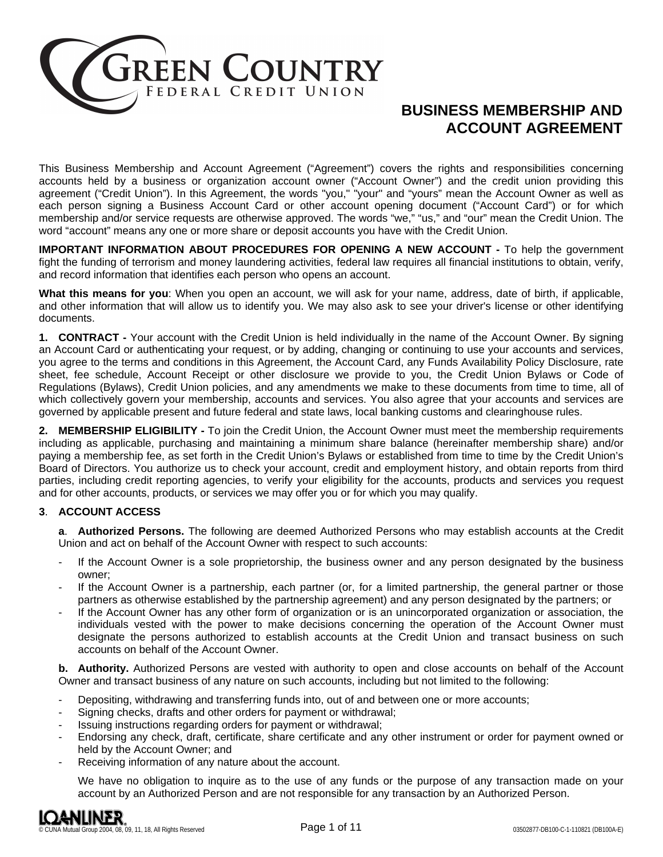

# **BUSINESS MEMBERSHIP AND ACCOUNT AGREEMENT**

This Business Membership and Account Agreement ("Agreement") covers the rights and responsibilities concerning accounts held by a business or organization account owner ("Account Owner") and the credit union providing this agreement ("Credit Union"). In this Agreement, the words "you," "your" and "yours" mean the Account Owner as well as each person signing a Business Account Card or other account opening document ("Account Card") or for which membership and/or service requests are otherwise approved. The words "we," "us," and "our" mean the Credit Union. The word "account" means any one or more share or deposit accounts you have with the Credit Union.

**IMPORTANT INFORMATION ABOUT PROCEDURES FOR OPENING A NEW ACCOUNT -** To help the government fight the funding of terrorism and money laundering activities, federal law requires all financial institutions to obtain, verify, and record information that identifies each person who opens an account.

**What this means for you**: When you open an account, we will ask for your name, address, date of birth, if applicable, and other information that will allow us to identify you. We may also ask to see your driver's license or other identifying documents.

**1. CONTRACT -** Your account with the Credit Union is held individually in the name of the Account Owner. By signing an Account Card or authenticating your request, or by adding, changing or continuing to use your accounts and services, you agree to the terms and conditions in this Agreement, the Account Card, any Funds Availability Policy Disclosure, rate sheet, fee schedule, Account Receipt or other disclosure we provide to you, the Credit Union Bylaws or Code of Regulations (Bylaws), Credit Union policies, and any amendments we make to these documents from time to time, all of which collectively govern your membership, accounts and services. You also agree that your accounts and services are governed by applicable present and future federal and state laws, local banking customs and clearinghouse rules.

**2. MEMBERSHIP ELIGIBILITY -** To join the Credit Union, the Account Owner must meet the membership requirements including as applicable, purchasing and maintaining a minimum share balance (hereinafter membership share) and/or paying a membership fee, as set forth in the Credit Union's Bylaws or established from time to time by the Credit Union's Board of Directors. You authorize us to check your account, credit and employment history, and obtain reports from third parties, including credit reporting agencies, to verify your eligibility for the accounts, products and services you request and for other accounts, products, or services we may offer you or for which you may qualify.

# **3**. **ACCOUNT ACCESS**

**a**. **Authorized Persons.** The following are deemed Authorized Persons who may establish accounts at the Credit Union and act on behalf of the Account Owner with respect to such accounts:

- If the Account Owner is a sole proprietorship, the business owner and any person designated by the business owner;
- If the Account Owner is a partnership, each partner (or, for a limited partnership, the general partner or those partners as otherwise established by the partnership agreement) and any person designated by the partners; or
- If the Account Owner has any other form of organization or is an unincorporated organization or association, the individuals vested with the power to make decisions concerning the operation of the Account Owner must designate the persons authorized to establish accounts at the Credit Union and transact business on such accounts on behalf of the Account Owner.

**b. Authority.** Authorized Persons are vested with authority to open and close accounts on behalf of the Account Owner and transact business of any nature on such accounts, including but not limited to the following:

- Depositing, withdrawing and transferring funds into, out of and between one or more accounts;
- Signing checks, drafts and other orders for payment or withdrawal;
- Issuing instructions regarding orders for payment or withdrawal;
- Endorsing any check, draft, certificate, share certificate and any other instrument or order for payment owned or held by the Account Owner; and
- Receiving information of any nature about the account.

We have no obligation to inquire as to the use of any funds or the purpose of any transaction made on your account by an Authorized Person and are not responsible for any transaction by an Authorized Person.

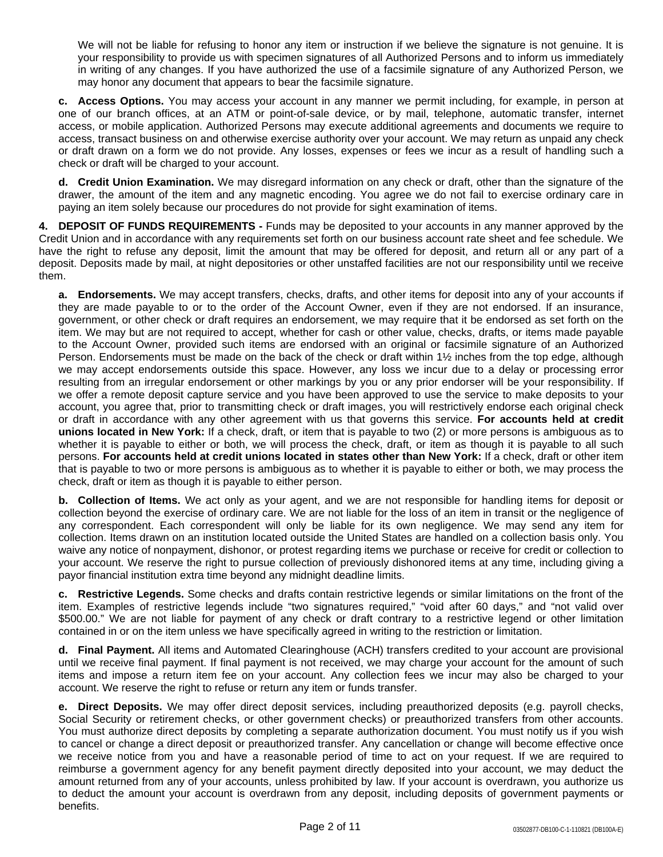We will not be liable for refusing to honor any item or instruction if we believe the signature is not genuine. It is your responsibility to provide us with specimen signatures of all Authorized Persons and to inform us immediately in writing of any changes. If you have authorized the use of a facsimile signature of any Authorized Person, we may honor any document that appears to bear the facsimile signature.

**c. Access Options.** You may access your account in any manner we permit including, for example, in person at one of our branch offices, at an ATM or point-of-sale device, or by mail, telephone, automatic transfer, internet access, or mobile application. Authorized Persons may execute additional agreements and documents we require to access, transact business on and otherwise exercise authority over your account. We may return as unpaid any check or draft drawn on a form we do not provide. Any losses, expenses or fees we incur as a result of handling such a check or draft will be charged to your account.

**d. Credit Union Examination.** We may disregard information on any check or draft, other than the signature of the drawer, the amount of the item and any magnetic encoding. You agree we do not fail to exercise ordinary care in paying an item solely because our procedures do not provide for sight examination of items.

**4. DEPOSIT OF FUNDS REQUIREMENTS -** Funds may be deposited to your accounts in any manner approved by the Credit Union and in accordance with any requirements set forth on our business account rate sheet and fee schedule. We have the right to refuse any deposit, limit the amount that may be offered for deposit, and return all or any part of a deposit. Deposits made by mail, at night depositories or other unstaffed facilities are not our responsibility until we receive them.

**a. Endorsements.** We may accept transfers, checks, drafts, and other items for deposit into any of your accounts if they are made payable to or to the order of the Account Owner, even if they are not endorsed. If an insurance, government, or other check or draft requires an endorsement, we may require that it be endorsed as set forth on the item. We may but are not required to accept, whether for cash or other value, checks, drafts, or items made payable to the Account Owner, provided such items are endorsed with an original or facsimile signature of an Authorized Person. Endorsements must be made on the back of the check or draft within 1½ inches from the top edge, although we may accept endorsements outside this space. However, any loss we incur due to a delay or processing error resulting from an irregular endorsement or other markings by you or any prior endorser will be your responsibility. If we offer a remote deposit capture service and you have been approved to use the service to make deposits to your account, you agree that, prior to transmitting check or draft images, you will restrictively endorse each original check or draft in accordance with any other agreement with us that governs this service. **For accounts held at credit unions located in New York:** If a check, draft, or item that is payable to two (2) or more persons is ambiguous as to whether it is payable to either or both, we will process the check, draft, or item as though it is payable to all such persons. **For accounts held at credit unions located in states other than New York:** If a check, draft or other item that is payable to two or more persons is ambiguous as to whether it is payable to either or both, we may process the check, draft or item as though it is payable to either person.

**b. Collection of Items.** We act only as your agent, and we are not responsible for handling items for deposit or collection beyond the exercise of ordinary care. We are not liable for the loss of an item in transit or the negligence of any correspondent. Each correspondent will only be liable for its own negligence. We may send any item for collection. Items drawn on an institution located outside the United States are handled on a collection basis only. You waive any notice of nonpayment, dishonor, or protest regarding items we purchase or receive for credit or collection to your account. We reserve the right to pursue collection of previously dishonored items at any time, including giving a payor financial institution extra time beyond any midnight deadline limits.

**c. Restrictive Legends.** Some checks and drafts contain restrictive legends or similar limitations on the front of the item. Examples of restrictive legends include "two signatures required," "void after 60 days," and "not valid over \$500.00." We are not liable for payment of any check or draft contrary to a restrictive legend or other limitation contained in or on the item unless we have specifically agreed in writing to the restriction or limitation.

**d. Final Payment.** All items and Automated Clearinghouse (ACH) transfers credited to your account are provisional until we receive final payment. If final payment is not received, we may charge your account for the amount of such items and impose a return item fee on your account. Any collection fees we incur may also be charged to your account. We reserve the right to refuse or return any item or funds transfer.

**e. Direct Deposits.** We may offer direct deposit services, including preauthorized deposits (e.g. payroll checks, Social Security or retirement checks, or other government checks) or preauthorized transfers from other accounts. You must authorize direct deposits by completing a separate authorization document. You must notify us if you wish to cancel or change a direct deposit or preauthorized transfer. Any cancellation or change will become effective once we receive notice from you and have a reasonable period of time to act on your request. If we are required to reimburse a government agency for any benefit payment directly deposited into your account, we may deduct the amount returned from any of your accounts, unless prohibited by law. If your account is overdrawn, you authorize us to deduct the amount your account is overdrawn from any deposit, including deposits of government payments or benefits.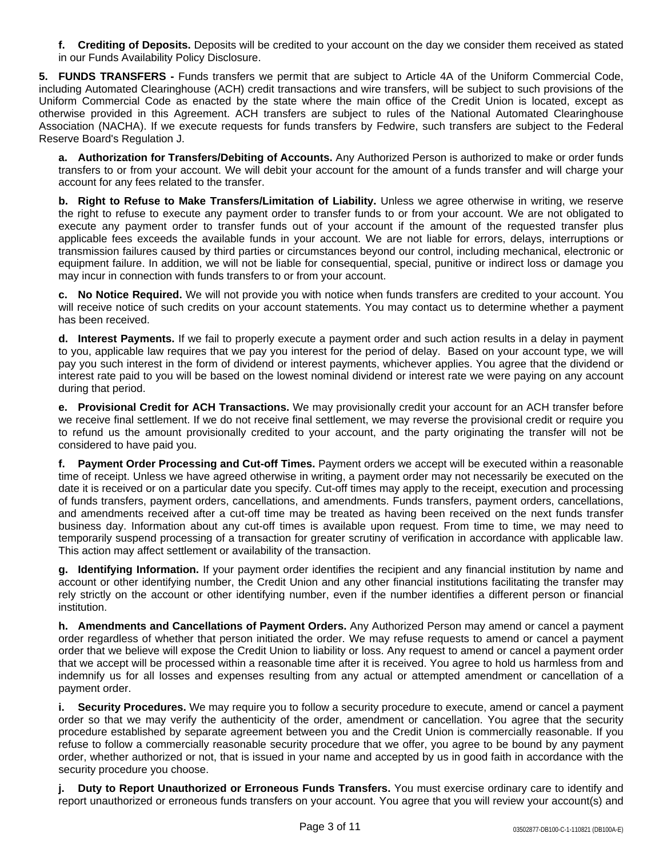**f. Crediting of Deposits.** Deposits will be credited to your account on the day we consider them received as stated in our Funds Availability Policy Disclosure.

**5. FUNDS TRANSFERS -** Funds transfers we permit that are subject to Article 4A of the Uniform Commercial Code, including Automated Clearinghouse (ACH) credit transactions and wire transfers, will be subject to such provisions of the Uniform Commercial Code as enacted by the state where the main office of the Credit Union is located, except as otherwise provided in this Agreement. ACH transfers are subject to rules of the National Automated Clearinghouse Association (NACHA). If we execute requests for funds transfers by Fedwire, such transfers are subject to the Federal Reserve Board's Regulation J.

**a. Authorization for Transfers/Debiting of Accounts.** Any Authorized Person is authorized to make or order funds transfers to or from your account. We will debit your account for the amount of a funds transfer and will charge your account for any fees related to the transfer.

**b. Right to Refuse to Make Transfers/Limitation of Liability.** Unless we agree otherwise in writing, we reserve the right to refuse to execute any payment order to transfer funds to or from your account. We are not obligated to execute any payment order to transfer funds out of your account if the amount of the requested transfer plus applicable fees exceeds the available funds in your account. We are not liable for errors, delays, interruptions or transmission failures caused by third parties or circumstances beyond our control, including mechanical, electronic or equipment failure. In addition, we will not be liable for consequential, special, punitive or indirect loss or damage you may incur in connection with funds transfers to or from your account.

**c. No Notice Required.** We will not provide you with notice when funds transfers are credited to your account. You will receive notice of such credits on your account statements. You may contact us to determine whether a payment has been received.

**d. Interest Payments.** If we fail to properly execute a payment order and such action results in a delay in payment to you, applicable law requires that we pay you interest for the period of delay. Based on your account type, we will pay you such interest in the form of dividend or interest payments, whichever applies. You agree that the dividend or interest rate paid to you will be based on the lowest nominal dividend or interest rate we were paying on any account during that period.

**e. Provisional Credit for ACH Transactions.** We may provisionally credit your account for an ACH transfer before we receive final settlement. If we do not receive final settlement, we may reverse the provisional credit or require you to refund us the amount provisionally credited to your account, and the party originating the transfer will not be considered to have paid you.

**f. Payment Order Processing and Cut-off Times.** Payment orders we accept will be executed within a reasonable time of receipt. Unless we have agreed otherwise in writing, a payment order may not necessarily be executed on the date it is received or on a particular date you specify. Cut-off times may apply to the receipt, execution and processing of funds transfers, payment orders, cancellations, and amendments. Funds transfers, payment orders, cancellations, and amendments received after a cut-off time may be treated as having been received on the next funds transfer business day. Information about any cut-off times is available upon request. From time to time, we may need to temporarily suspend processing of a transaction for greater scrutiny of verification in accordance with applicable law. This action may affect settlement or availability of the transaction.

**g. Identifying Information.** If your payment order identifies the recipient and any financial institution by name and account or other identifying number, the Credit Union and any other financial institutions facilitating the transfer may rely strictly on the account or other identifying number, even if the number identifies a different person or financial institution.

**h. Amendments and Cancellations of Payment Orders.** Any Authorized Person may amend or cancel a payment order regardless of whether that person initiated the order. We may refuse requests to amend or cancel a payment order that we believe will expose the Credit Union to liability or loss. Any request to amend or cancel a payment order that we accept will be processed within a reasonable time after it is received. You agree to hold us harmless from and indemnify us for all losses and expenses resulting from any actual or attempted amendment or cancellation of a payment order.

**i. Security Procedures.** We may require you to follow a security procedure to execute, amend or cancel a payment order so that we may verify the authenticity of the order, amendment or cancellation. You agree that the security procedure established by separate agreement between you and the Credit Union is commercially reasonable. If you refuse to follow a commercially reasonable security procedure that we offer, you agree to be bound by any payment order, whether authorized or not, that is issued in your name and accepted by us in good faith in accordance with the security procedure you choose.

**j. Duty to Report Unauthorized or Erroneous Funds Transfers.** You must exercise ordinary care to identify and report unauthorized or erroneous funds transfers on your account. You agree that you will review your account(s) and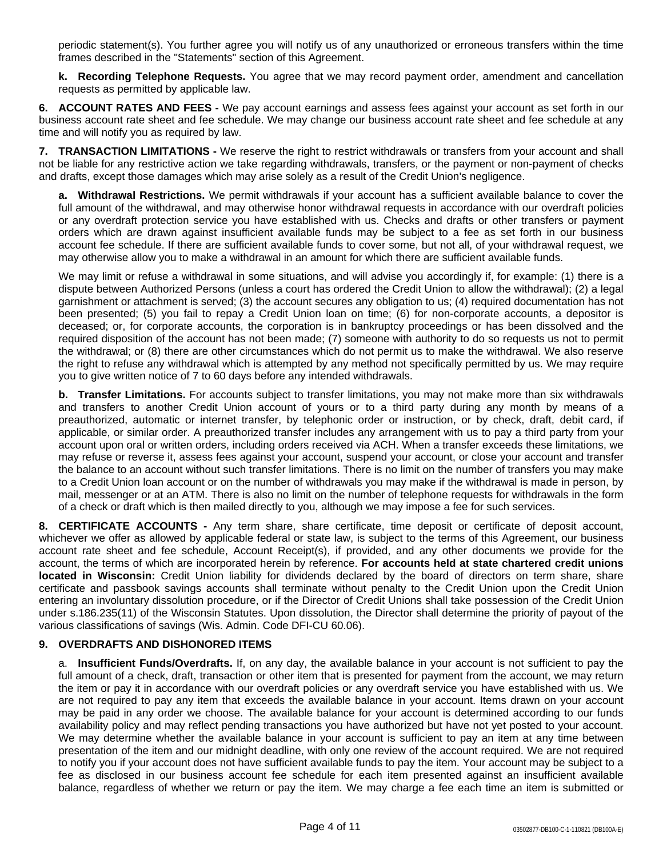periodic statement(s). You further agree you will notify us of any unauthorized or erroneous transfers within the time frames described in the "Statements" section of this Agreement.

**k. Recording Telephone Requests.** You agree that we may record payment order, amendment and cancellation requests as permitted by applicable law.

**6. ACCOUNT RATES AND FEES -** We pay account earnings and assess fees against your account as set forth in our business account rate sheet and fee schedule. We may change our business account rate sheet and fee schedule at any time and will notify you as required by law.

**7. TRANSACTION LIMITATIONS -** We reserve the right to restrict withdrawals or transfers from your account and shall not be liable for any restrictive action we take regarding withdrawals, transfers, or the payment or non-payment of checks and drafts, except those damages which may arise solely as a result of the Credit Union's negligence.

**a. Withdrawal Restrictions.** We permit withdrawals if your account has a sufficient available balance to cover the full amount of the withdrawal, and may otherwise honor withdrawal requests in accordance with our overdraft policies or any overdraft protection service you have established with us. Checks and drafts or other transfers or payment orders which are drawn against insufficient available funds may be subject to a fee as set forth in our business account fee schedule. If there are sufficient available funds to cover some, but not all, of your withdrawal request, we may otherwise allow you to make a withdrawal in an amount for which there are sufficient available funds.

We may limit or refuse a withdrawal in some situations, and will advise you accordingly if, for example: (1) there is a dispute between Authorized Persons (unless a court has ordered the Credit Union to allow the withdrawal); (2) a legal garnishment or attachment is served; (3) the account secures any obligation to us; (4) required documentation has not been presented; (5) you fail to repay a Credit Union loan on time; (6) for non-corporate accounts, a depositor is deceased; or, for corporate accounts, the corporation is in bankruptcy proceedings or has been dissolved and the required disposition of the account has not been made; (7) someone with authority to do so requests us not to permit the withdrawal; or (8) there are other circumstances which do not permit us to make the withdrawal. We also reserve the right to refuse any withdrawal which is attempted by any method not specifically permitted by us. We may require you to give written notice of 7 to 60 days before any intended withdrawals.

**b. Transfer Limitations.** For accounts subject to transfer limitations, you may not make more than six withdrawals and transfers to another Credit Union account of yours or to a third party during any month by means of a preauthorized, automatic or internet transfer, by telephonic order or instruction, or by check, draft, debit card, if applicable, or similar order. A preauthorized transfer includes any arrangement with us to pay a third party from your account upon oral or written orders, including orders received via ACH. When a transfer exceeds these limitations, we may refuse or reverse it, assess fees against your account, suspend your account, or close your account and transfer the balance to an account without such transfer limitations. There is no limit on the number of transfers you may make to a Credit Union loan account or on the number of withdrawals you may make if the withdrawal is made in person, by mail, messenger or at an ATM. There is also no limit on the number of telephone requests for withdrawals in the form of a check or draft which is then mailed directly to you, although we may impose a fee for such services.

**8. CERTIFICATE ACCOUNTS -** Any term share, share certificate, time deposit or certificate of deposit account, whichever we offer as allowed by applicable federal or state law, is subject to the terms of this Agreement, our business account rate sheet and fee schedule, Account Receipt(s), if provided, and any other documents we provide for the account, the terms of which are incorporated herein by reference. **For accounts held at state chartered credit unions located in Wisconsin:** Credit Union liability for dividends declared by the board of directors on term share, share certificate and passbook savings accounts shall terminate without penalty to the Credit Union upon the Credit Union entering an involuntary dissolution procedure, or if the Director of Credit Unions shall take possession of the Credit Union under s.186.235(11) of the Wisconsin Statutes. Upon dissolution, the Director shall determine the priority of payout of the various classifications of savings (Wis. Admin. Code DFI-CU 60.06).

## **9. OVERDRAFTS AND DISHONORED ITEMS**

a. **Insufficient Funds/Overdrafts.** If, on any day, the available balance in your account is not sufficient to pay the full amount of a check, draft, transaction or other item that is presented for payment from the account, we may return the item or pay it in accordance with our overdraft policies or any overdraft service you have established with us. We are not required to pay any item that exceeds the available balance in your account. Items drawn on your account may be paid in any order we choose. The available balance for your account is determined according to our funds availability policy and may reflect pending transactions you have authorized but have not yet posted to your account. We may determine whether the available balance in your account is sufficient to pay an item at any time between presentation of the item and our midnight deadline, with only one review of the account required. We are not required to notify you if your account does not have sufficient available funds to pay the item. Your account may be subject to a fee as disclosed in our business account fee schedule for each item presented against an insufficient available balance, regardless of whether we return or pay the item. We may charge a fee each time an item is submitted or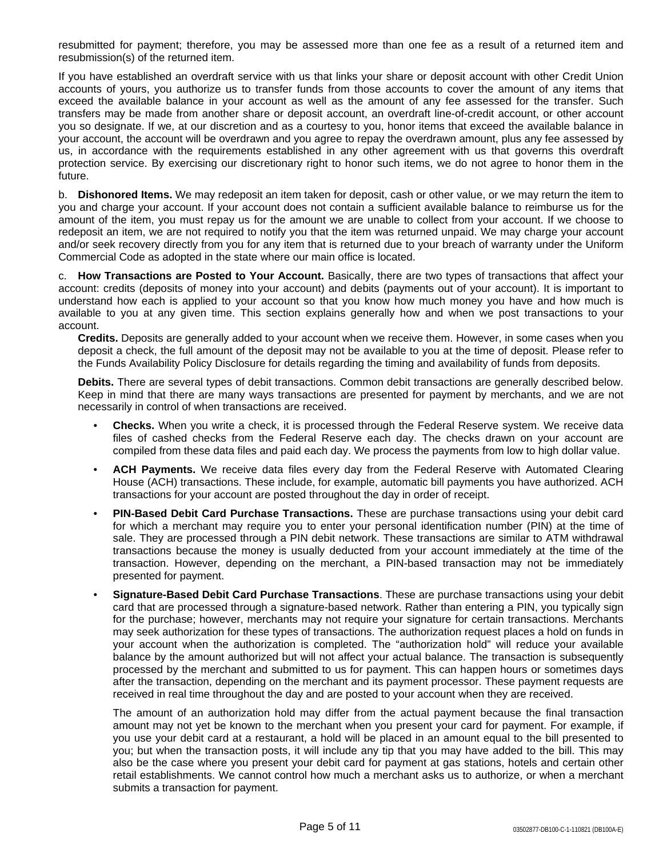resubmitted for payment; therefore, you may be assessed more than one fee as a result of a returned item and resubmission(s) of the returned item.

If you have established an overdraft service with us that links your share or deposit account with other Credit Union accounts of yours, you authorize us to transfer funds from those accounts to cover the amount of any items that exceed the available balance in your account as well as the amount of any fee assessed for the transfer. Such transfers may be made from another share or deposit account, an overdraft line-of-credit account, or other account you so designate. If we, at our discretion and as a courtesy to you, honor items that exceed the available balance in your account, the account will be overdrawn and you agree to repay the overdrawn amount, plus any fee assessed by us, in accordance with the requirements established in any other agreement with us that governs this overdraft protection service. By exercising our discretionary right to honor such items, we do not agree to honor them in the future.

b. **Dishonored Items.** We may redeposit an item taken for deposit, cash or other value, or we may return the item to you and charge your account. If your account does not contain a sufficient available balance to reimburse us for the amount of the item, you must repay us for the amount we are unable to collect from your account. If we choose to redeposit an item, we are not required to notify you that the item was returned unpaid. We may charge your account and/or seek recovery directly from you for any item that is returned due to your breach of warranty under the Uniform Commercial Code as adopted in the state where our main office is located.

c. **How Transactions are Posted to Your Account.** Basically, there are two types of transactions that affect your account: credits (deposits of money into your account) and debits (payments out of your account). It is important to understand how each is applied to your account so that you know how much money you have and how much is available to you at any given time. This section explains generally how and when we post transactions to your account.

**Credits.** Deposits are generally added to your account when we receive them. However, in some cases when you deposit a check, the full amount of the deposit may not be available to you at the time of deposit. Please refer to the Funds Availability Policy Disclosure for details regarding the timing and availability of funds from deposits.

**Debits.** There are several types of debit transactions. Common debit transactions are generally described below. Keep in mind that there are many ways transactions are presented for payment by merchants, and we are not necessarily in control of when transactions are received.

- **Checks.** When you write a check, it is processed through the Federal Reserve system. We receive data files of cashed checks from the Federal Reserve each day. The checks drawn on your account are compiled from these data files and paid each day. We process the payments from low to high dollar value.
- **ACH Payments.** We receive data files every day from the Federal Reserve with Automated Clearing House (ACH) transactions. These include, for example, automatic bill payments you have authorized. ACH transactions for your account are posted throughout the day in order of receipt.
- **PIN-Based Debit Card Purchase Transactions.** These are purchase transactions using your debit card for which a merchant may require you to enter your personal identification number (PIN) at the time of sale. They are processed through a PIN debit network. These transactions are similar to ATM withdrawal transactions because the money is usually deducted from your account immediately at the time of the transaction. However, depending on the merchant, a PIN-based transaction may not be immediately presented for payment.
- **Signature-Based Debit Card Purchase Transactions**. These are purchase transactions using your debit card that are processed through a signature-based network. Rather than entering a PIN, you typically sign for the purchase; however, merchants may not require your signature for certain transactions. Merchants may seek authorization for these types of transactions. The authorization request places a hold on funds in your account when the authorization is completed. The "authorization hold" will reduce your available balance by the amount authorized but will not affect your actual balance. The transaction is subsequently processed by the merchant and submitted to us for payment. This can happen hours or sometimes days after the transaction, depending on the merchant and its payment processor. These payment requests are received in real time throughout the day and are posted to your account when they are received.

The amount of an authorization hold may differ from the actual payment because the final transaction amount may not yet be known to the merchant when you present your card for payment. For example, if you use your debit card at a restaurant, a hold will be placed in an amount equal to the bill presented to you; but when the transaction posts, it will include any tip that you may have added to the bill. This may also be the case where you present your debit card for payment at gas stations, hotels and certain other retail establishments. We cannot control how much a merchant asks us to authorize, or when a merchant submits a transaction for payment.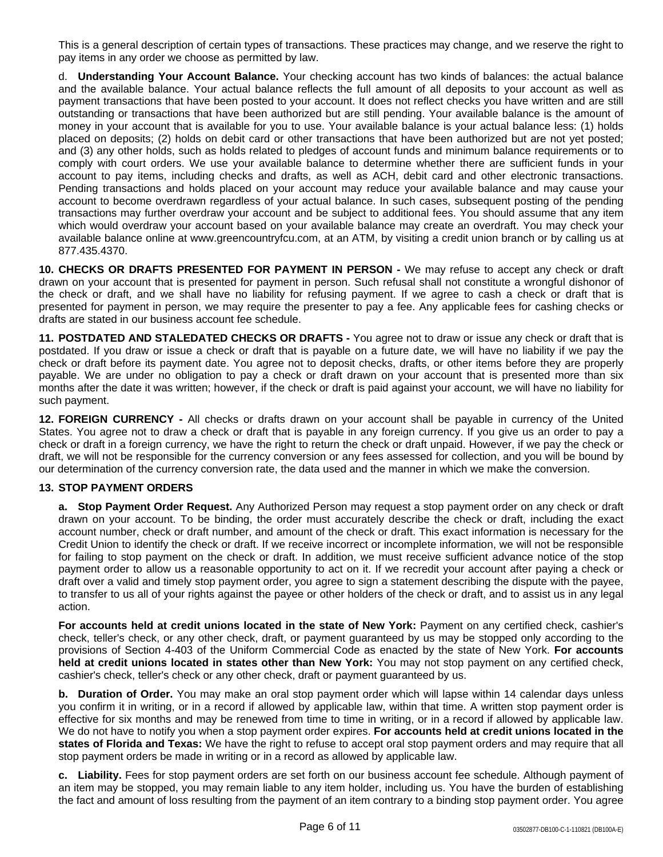This is a general description of certain types of transactions. These practices may change, and we reserve the right to pay items in any order we choose as permitted by law.

d. **Understanding Your Account Balance.** Your checking account has two kinds of balances: the actual balance and the available balance. Your actual balance reflects the full amount of all deposits to your account as well as payment transactions that have been posted to your account. It does not reflect checks you have written and are still outstanding or transactions that have been authorized but are still pending. Your available balance is the amount of money in your account that is available for you to use. Your available balance is your actual balance less: (1) holds placed on deposits; (2) holds on debit card or other transactions that have been authorized but are not yet posted; and (3) any other holds, such as holds related to pledges of account funds and minimum balance requirements or to comply with court orders. We use your available balance to determine whether there are sufficient funds in your account to pay items, including checks and drafts, as well as ACH, debit card and other electronic transactions. Pending transactions and holds placed on your account may reduce your available balance and may cause your account to become overdrawn regardless of your actual balance. In such cases, subsequent posting of the pending transactions may further overdraw your account and be subject to additional fees. You should assume that any item which would overdraw your account based on your available balance may create an overdraft. You may check your available balance online at www.greencountryfcu.com, at an ATM, by visiting a credit union branch or by calling us at 877.435.4370.

**10. CHECKS OR DRAFTS PRESENTED FOR PAYMENT IN PERSON -** We may refuse to accept any check or draft drawn on your account that is presented for payment in person. Such refusal shall not constitute a wrongful dishonor of the check or draft, and we shall have no liability for refusing payment. If we agree to cash a check or draft that is presented for payment in person, we may require the presenter to pay a fee. Any applicable fees for cashing checks or drafts are stated in our business account fee schedule.

**11. POSTDATED AND STALEDATED CHECKS OR DRAFTS -** You agree not to draw or issue any check or draft that is postdated. If you draw or issue a check or draft that is payable on a future date, we will have no liability if we pay the check or draft before its payment date. You agree not to deposit checks, drafts, or other items before they are properly payable. We are under no obligation to pay a check or draft drawn on your account that is presented more than six months after the date it was written; however, if the check or draft is paid against your account, we will have no liability for such payment.

**12. FOREIGN CURRENCY -** All checks or drafts drawn on your account shall be payable in currency of the United States. You agree not to draw a check or draft that is payable in any foreign currency. If you give us an order to pay a check or draft in a foreign currency, we have the right to return the check or draft unpaid. However, if we pay the check or draft, we will not be responsible for the currency conversion or any fees assessed for collection, and you will be bound by our determination of the currency conversion rate, the data used and the manner in which we make the conversion.

# **13. STOP PAYMENT ORDERS**

**a. Stop Payment Order Request.** Any Authorized Person may request a stop payment order on any check or draft drawn on your account. To be binding, the order must accurately describe the check or draft, including the exact account number, check or draft number, and amount of the check or draft. This exact information is necessary for the Credit Union to identify the check or draft. If we receive incorrect or incomplete information, we will not be responsible for failing to stop payment on the check or draft. In addition, we must receive sufficient advance notice of the stop payment order to allow us a reasonable opportunity to act on it. If we recredit your account after paying a check or draft over a valid and timely stop payment order, you agree to sign a statement describing the dispute with the payee, to transfer to us all of your rights against the payee or other holders of the check or draft, and to assist us in any legal action.

**For accounts held at credit unions located in the state of New York:** Payment on any certified check, cashier's check, teller's check, or any other check, draft, or payment guaranteed by us may be stopped only according to the provisions of Section 4-403 of the Uniform Commercial Code as enacted by the state of New York. **For accounts held at credit unions located in states other than New York:** You may not stop payment on any certified check, cashier's check, teller's check or any other check, draft or payment guaranteed by us.

**b. Duration of Order.** You may make an oral stop payment order which will lapse within 14 calendar days unless you confirm it in writing, or in a record if allowed by applicable law, within that time. A written stop payment order is effective for six months and may be renewed from time to time in writing, or in a record if allowed by applicable law. We do not have to notify you when a stop payment order expires. **For accounts held at credit unions located in the states of Florida and Texas:** We have the right to refuse to accept oral stop payment orders and may require that all stop payment orders be made in writing or in a record as allowed by applicable law.

**c. Liability.** Fees for stop payment orders are set forth on our business account fee schedule. Although payment of an item may be stopped, you may remain liable to any item holder, including us. You have the burden of establishing the fact and amount of loss resulting from the payment of an item contrary to a binding stop payment order. You agree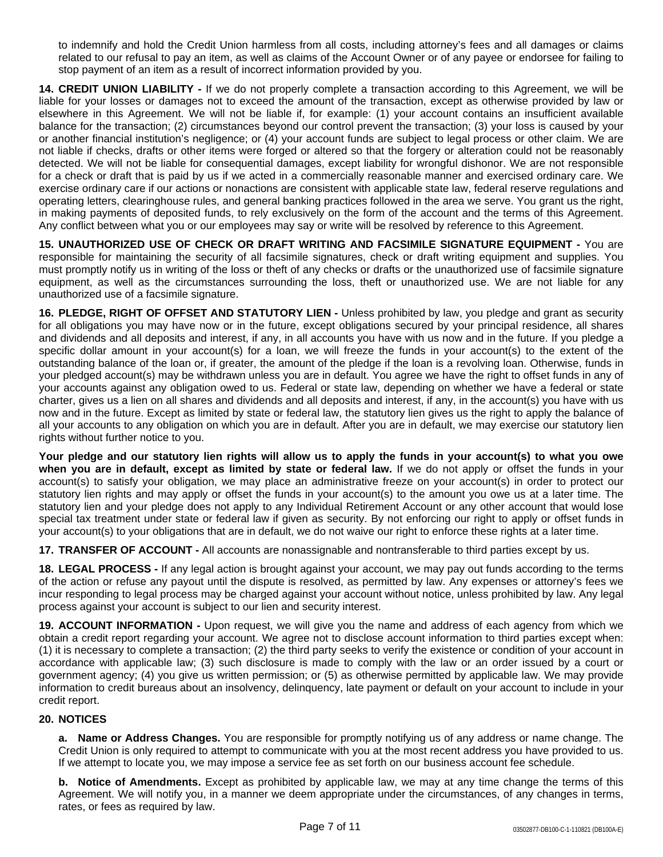to indemnify and hold the Credit Union harmless from all costs, including attorney's fees and all damages or claims related to our refusal to pay an item, as well as claims of the Account Owner or of any payee or endorsee for failing to stop payment of an item as a result of incorrect information provided by you.

**14. CREDIT UNION LIABILITY -** If we do not properly complete a transaction according to this Agreement, we will be liable for your losses or damages not to exceed the amount of the transaction, except as otherwise provided by law or elsewhere in this Agreement. We will not be liable if, for example: (1) your account contains an insufficient available balance for the transaction; (2) circumstances beyond our control prevent the transaction; (3) your loss is caused by your or another financial institution's negligence; or (4) your account funds are subject to legal process or other claim. We are not liable if checks, drafts or other items were forged or altered so that the forgery or alteration could not be reasonably detected. We will not be liable for consequential damages, except liability for wrongful dishonor. We are not responsible for a check or draft that is paid by us if we acted in a commercially reasonable manner and exercised ordinary care. We exercise ordinary care if our actions or nonactions are consistent with applicable state law, federal reserve regulations and operating letters, clearinghouse rules, and general banking practices followed in the area we serve. You grant us the right, in making payments of deposited funds, to rely exclusively on the form of the account and the terms of this Agreement. Any conflict between what you or our employees may say or write will be resolved by reference to this Agreement.

**15. UNAUTHORIZED USE OF CHECK OR DRAFT WRITING AND FACSIMILE SIGNATURE EQUIPMENT -** You are responsible for maintaining the security of all facsimile signatures, check or draft writing equipment and supplies. You must promptly notify us in writing of the loss or theft of any checks or drafts or the unauthorized use of facsimile signature equipment, as well as the circumstances surrounding the loss, theft or unauthorized use. We are not liable for any unauthorized use of a facsimile signature.

**16. PLEDGE, RIGHT OF OFFSET AND STATUTORY LIEN -** Unless prohibited by law, you pledge and grant as security for all obligations you may have now or in the future, except obligations secured by your principal residence, all shares and dividends and all deposits and interest, if any, in all accounts you have with us now and in the future. If you pledge a specific dollar amount in your account(s) for a loan, we will freeze the funds in your account(s) to the extent of the outstanding balance of the loan or, if greater, the amount of the pledge if the loan is a revolving loan. Otherwise, funds in your pledged account(s) may be withdrawn unless you are in default. You agree we have the right to offset funds in any of your accounts against any obligation owed to us. Federal or state law, depending on whether we have a federal or state charter, gives us a lien on all shares and dividends and all deposits and interest, if any, in the account(s) you have with us now and in the future. Except as limited by state or federal law, the statutory lien gives us the right to apply the balance of all your accounts to any obligation on which you are in default. After you are in default, we may exercise our statutory lien rights without further notice to you.

Your pledge and our statutory lien rights will allow us to apply the funds in your account(s) to what you owe **when you are in default, except as limited by state or federal law.** If we do not apply or offset the funds in your account(s) to satisfy your obligation, we may place an administrative freeze on your account(s) in order to protect our statutory lien rights and may apply or offset the funds in your account(s) to the amount you owe us at a later time. The statutory lien and your pledge does not apply to any Individual Retirement Account or any other account that would lose special tax treatment under state or federal law if given as security. By not enforcing our right to apply or offset funds in your account(s) to your obligations that are in default, we do not waive our right to enforce these rights at a later time.

**17. TRANSFER OF ACCOUNT -** All accounts are nonassignable and nontransferable to third parties except by us.

**18. LEGAL PROCESS -** If any legal action is brought against your account, we may pay out funds according to the terms of the action or refuse any payout until the dispute is resolved, as permitted by law. Any expenses or attorney's fees we incur responding to legal process may be charged against your account without notice, unless prohibited by law. Any legal process against your account is subject to our lien and security interest.

**19. ACCOUNT INFORMATION -** Upon request, we will give you the name and address of each agency from which we obtain a credit report regarding your account. We agree not to disclose account information to third parties except when: (1) it is necessary to complete a transaction; (2) the third party seeks to verify the existence or condition of your account in accordance with applicable law; (3) such disclosure is made to comply with the law or an order issued by a court or government agency; (4) you give us written permission; or (5) as otherwise permitted by applicable law. We may provide information to credit bureaus about an insolvency, delinquency, late payment or default on your account to include in your credit report.

## **20. NOTICES**

**a. Name or Address Changes.** You are responsible for promptly notifying us of any address or name change. The Credit Union is only required to attempt to communicate with you at the most recent address you have provided to us. If we attempt to locate you, we may impose a service fee as set forth on our business account fee schedule.

**b. Notice of Amendments.** Except as prohibited by applicable law, we may at any time change the terms of this Agreement. We will notify you, in a manner we deem appropriate under the circumstances, of any changes in terms, rates, or fees as required by law.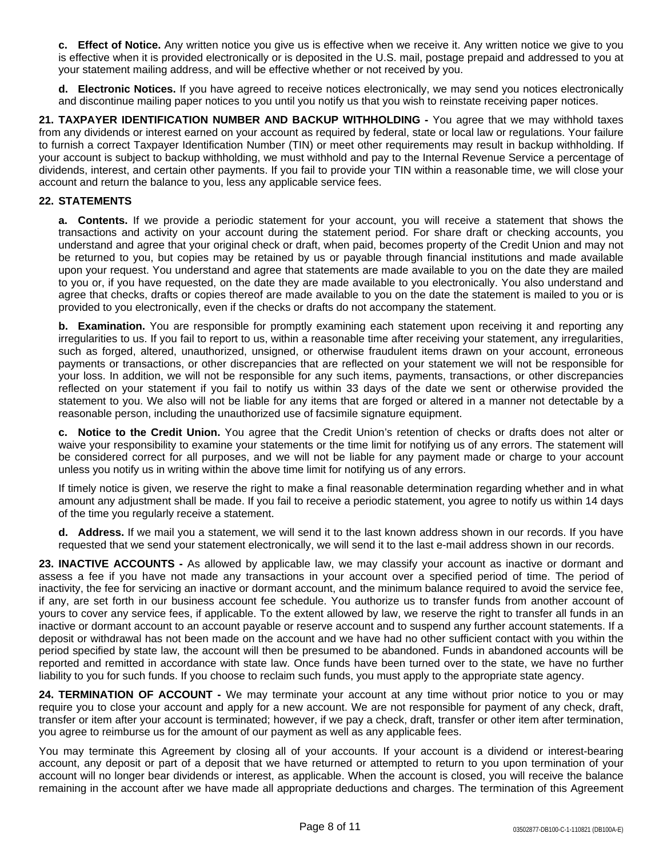**c. Effect of Notice.** Any written notice you give us is effective when we receive it. Any written notice we give to you is effective when it is provided electronically or is deposited in the U.S. mail, postage prepaid and addressed to you at your statement mailing address, and will be effective whether or not received by you.

**d. Electronic Notices.** If you have agreed to receive notices electronically, we may send you notices electronically and discontinue mailing paper notices to you until you notify us that you wish to reinstate receiving paper notices.

**21. TAXPAYER IDENTIFICATION NUMBER AND BACKUP WITHHOLDING -** You agree that we may withhold taxes from any dividends or interest earned on your account as required by federal, state or local law or regulations. Your failure to furnish a correct Taxpayer Identification Number (TIN) or meet other requirements may result in backup withholding. If your account is subject to backup withholding, we must withhold and pay to the Internal Revenue Service a percentage of dividends, interest, and certain other payments. If you fail to provide your TIN within a reasonable time, we will close your account and return the balance to you, less any applicable service fees.

## **22. STATEMENTS**

**a. Contents.** If we provide a periodic statement for your account, you will receive a statement that shows the transactions and activity on your account during the statement period. For share draft or checking accounts, you understand and agree that your original check or draft, when paid, becomes property of the Credit Union and may not be returned to you, but copies may be retained by us or payable through financial institutions and made available upon your request. You understand and agree that statements are made available to you on the date they are mailed to you or, if you have requested, on the date they are made available to you electronically. You also understand and agree that checks, drafts or copies thereof are made available to you on the date the statement is mailed to you or is provided to you electronically, even if the checks or drafts do not accompany the statement.

**b. Examination.** You are responsible for promptly examining each statement upon receiving it and reporting any irregularities to us. If you fail to report to us, within a reasonable time after receiving your statement, any irregularities, such as forged, altered, unauthorized, unsigned, or otherwise fraudulent items drawn on your account, erroneous payments or transactions, or other discrepancies that are reflected on your statement we will not be responsible for your loss. In addition, we will not be responsible for any such items, payments, transactions, or other discrepancies reflected on your statement if you fail to notify us within 33 days of the date we sent or otherwise provided the statement to you. We also will not be liable for any items that are forged or altered in a manner not detectable by a reasonable person, including the unauthorized use of facsimile signature equipment.

**c. Notice to the Credit Union.** You agree that the Credit Union's retention of checks or drafts does not alter or waive your responsibility to examine your statements or the time limit for notifying us of any errors. The statement will be considered correct for all purposes, and we will not be liable for any payment made or charge to your account unless you notify us in writing within the above time limit for notifying us of any errors.

If timely notice is given, we reserve the right to make a final reasonable determination regarding whether and in what amount any adjustment shall be made. If you fail to receive a periodic statement, you agree to notify us within 14 days of the time you regularly receive a statement.

**d. Address.** If we mail you a statement, we will send it to the last known address shown in our records. If you have requested that we send your statement electronically, we will send it to the last e-mail address shown in our records.

**23. INACTIVE ACCOUNTS -** As allowed by applicable law, we may classify your account as inactive or dormant and assess a fee if you have not made any transactions in your account over a specified period of time. The period of inactivity, the fee for servicing an inactive or dormant account, and the minimum balance required to avoid the service fee, if any, are set forth in our business account fee schedule. You authorize us to transfer funds from another account of yours to cover any service fees, if applicable. To the extent allowed by law, we reserve the right to transfer all funds in an inactive or dormant account to an account payable or reserve account and to suspend any further account statements. If a deposit or withdrawal has not been made on the account and we have had no other sufficient contact with you within the period specified by state law, the account will then be presumed to be abandoned. Funds in abandoned accounts will be reported and remitted in accordance with state law. Once funds have been turned over to the state, we have no further liability to you for such funds. If you choose to reclaim such funds, you must apply to the appropriate state agency.

**24. TERMINATION OF ACCOUNT -** We may terminate your account at any time without prior notice to you or may require you to close your account and apply for a new account. We are not responsible for payment of any check, draft, transfer or item after your account is terminated; however, if we pay a check, draft, transfer or other item after termination, you agree to reimburse us for the amount of our payment as well as any applicable fees.

You may terminate this Agreement by closing all of your accounts. If your account is a dividend or interest-bearing account, any deposit or part of a deposit that we have returned or attempted to return to you upon termination of your account will no longer bear dividends or interest, as applicable. When the account is closed, you will receive the balance remaining in the account after we have made all appropriate deductions and charges. The termination of this Agreement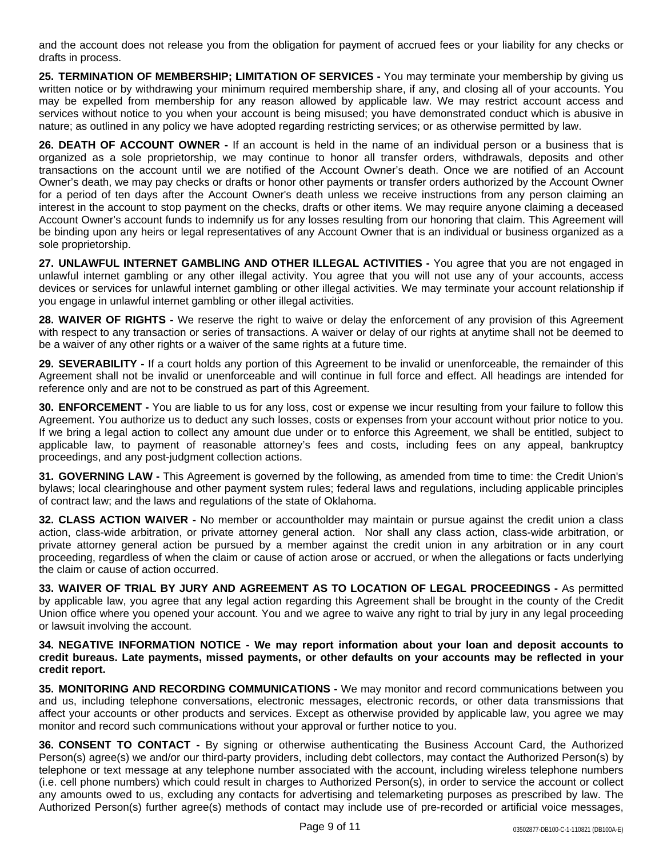and the account does not release you from the obligation for payment of accrued fees or your liability for any checks or drafts in process.

**25. TERMINATION OF MEMBERSHIP; LIMITATION OF SERVICES -** You may terminate your membership by giving us written notice or by withdrawing your minimum required membership share, if any, and closing all of your accounts. You may be expelled from membership for any reason allowed by applicable law. We may restrict account access and services without notice to you when your account is being misused; you have demonstrated conduct which is abusive in nature; as outlined in any policy we have adopted regarding restricting services; or as otherwise permitted by law.

**26. DEATH OF ACCOUNT OWNER -** If an account is held in the name of an individual person or a business that is organized as a sole proprietorship, we may continue to honor all transfer orders, withdrawals, deposits and other transactions on the account until we are notified of the Account Owner's death. Once we are notified of an Account Owner's death, we may pay checks or drafts or honor other payments or transfer orders authorized by the Account Owner for a period of ten days after the Account Owner's death unless we receive instructions from any person claiming an interest in the account to stop payment on the checks, drafts or other items. We may require anyone claiming a deceased Account Owner's account funds to indemnify us for any losses resulting from our honoring that claim. This Agreement will be binding upon any heirs or legal representatives of any Account Owner that is an individual or business organized as a sole proprietorship.

**27. UNLAWFUL INTERNET GAMBLING AND OTHER ILLEGAL ACTIVITIES -** You agree that you are not engaged in unlawful internet gambling or any other illegal activity. You agree that you will not use any of your accounts, access devices or services for unlawful internet gambling or other illegal activities. We may terminate your account relationship if you engage in unlawful internet gambling or other illegal activities.

**28. WAIVER OF RIGHTS -** We reserve the right to waive or delay the enforcement of any provision of this Agreement with respect to any transaction or series of transactions. A waiver or delay of our rights at anytime shall not be deemed to be a waiver of any other rights or a waiver of the same rights at a future time.

**29. SEVERABILITY -** If a court holds any portion of this Agreement to be invalid or unenforceable, the remainder of this Agreement shall not be invalid or unenforceable and will continue in full force and effect. All headings are intended for reference only and are not to be construed as part of this Agreement.

**30. ENFORCEMENT -** You are liable to us for any loss, cost or expense we incur resulting from your failure to follow this Agreement. You authorize us to deduct any such losses, costs or expenses from your account without prior notice to you. If we bring a legal action to collect any amount due under or to enforce this Agreement, we shall be entitled, subject to applicable law, to payment of reasonable attorney's fees and costs, including fees on any appeal, bankruptcy proceedings, and any post-judgment collection actions.

**31. GOVERNING LAW -** This Agreement is governed by the following, as amended from time to time: the Credit Union's bylaws; local clearinghouse and other payment system rules; federal laws and regulations, including applicable principles of contract law; and the laws and regulations of the state of Oklahoma.

**32. CLASS ACTION WAIVER -** No member or accountholder may maintain or pursue against the credit union a class action, class-wide arbitration, or private attorney general action. Nor shall any class action, class-wide arbitration, or private attorney general action be pursued by a member against the credit union in any arbitration or in any court proceeding, regardless of when the claim or cause of action arose or accrued, or when the allegations or facts underlying the claim or cause of action occurred.

**33. WAIVER OF TRIAL BY JURY AND AGREEMENT AS TO LOCATION OF LEGAL PROCEEDINGS -** As permitted by applicable law, you agree that any legal action regarding this Agreement shall be brought in the county of the Credit Union office where you opened your account. You and we agree to waive any right to trial by jury in any legal proceeding or lawsuit involving the account.

**34. NEGATIVE INFORMATION NOTICE - We may report information about your loan and deposit accounts to** credit bureaus. Late payments, missed payments, or other defaults on your accounts may be reflected in your **credit report.**

**35. MONITORING AND RECORDING COMMUNICATIONS -** We may monitor and record communications between you and us, including telephone conversations, electronic messages, electronic records, or other data transmissions that affect your accounts or other products and services. Except as otherwise provided by applicable law, you agree we may monitor and record such communications without your approval or further notice to you.

**36. CONSENT TO CONTACT -** By signing or otherwise authenticating the Business Account Card, the Authorized Person(s) agree(s) we and/or our third-party providers, including debt collectors, may contact the Authorized Person(s) by telephone or text message at any telephone number associated with the account, including wireless telephone numbers (i.e. cell phone numbers) which could result in charges to Authorized Person(s), in order to service the account or collect any amounts owed to us, excluding any contacts for advertising and telemarketing purposes as prescribed by law. The Authorized Person(s) further agree(s) methods of contact may include use of pre-recorded or artificial voice messages,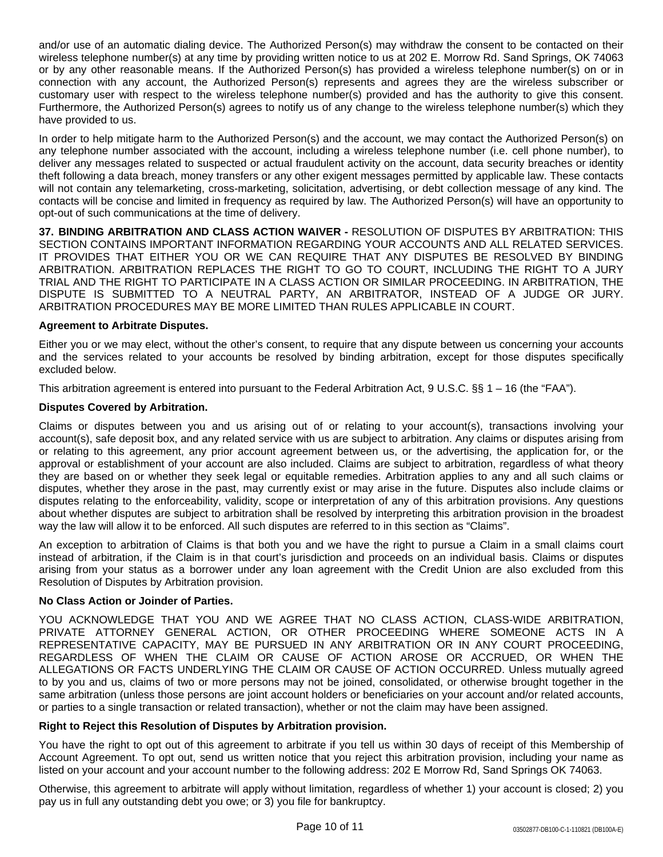and/or use of an automatic dialing device. The Authorized Person(s) may withdraw the consent to be contacted on their wireless telephone number(s) at any time by providing written notice to us at 202 E. Morrow Rd. Sand Springs, OK 74063 or by any other reasonable means. If the Authorized Person(s) has provided a wireless telephone number(s) on or in connection with any account, the Authorized Person(s) represents and agrees they are the wireless subscriber or customary user with respect to the wireless telephone number(s) provided and has the authority to give this consent. Furthermore, the Authorized Person(s) agrees to notify us of any change to the wireless telephone number(s) which they have provided to us.

In order to help mitigate harm to the Authorized Person(s) and the account, we may contact the Authorized Person(s) on any telephone number associated with the account, including a wireless telephone number (i.e. cell phone number), to deliver any messages related to suspected or actual fraudulent activity on the account, data security breaches or identity theft following a data breach, money transfers or any other exigent messages permitted by applicable law. These contacts will not contain any telemarketing, cross-marketing, solicitation, advertising, or debt collection message of any kind. The contacts will be concise and limited in frequency as required by law. The Authorized Person(s) will have an opportunity to opt-out of such communications at the time of delivery.

**37. BINDING ARBITRATION AND CLASS ACTION WAIVER -** RESOLUTION OF DISPUTES BY ARBITRATION: THIS SECTION CONTAINS IMPORTANT INFORMATION REGARDING YOUR ACCOUNTS AND ALL RELATED SERVICES. IT PROVIDES THAT EITHER YOU OR WE CAN REQUIRE THAT ANY DISPUTES BE RESOLVED BY BINDING ARBITRATION. ARBITRATION REPLACES THE RIGHT TO GO TO COURT, INCLUDING THE RIGHT TO A JURY TRIAL AND THE RIGHT TO PARTICIPATE IN A CLASS ACTION OR SIMILAR PROCEEDING. IN ARBITRATION, THE DISPUTE IS SUBMITTED TO A NEUTRAL PARTY, AN ARBITRATOR, INSTEAD OF A JUDGE OR JURY. ARBITRATION PROCEDURES MAY BE MORE LIMITED THAN RULES APPLICABLE IN COURT.

### **Agreement to Arbitrate Disputes.**

Either you or we may elect, without the other's consent, to require that any dispute between us concerning your accounts and the services related to your accounts be resolved by binding arbitration, except for those disputes specifically excluded below.

This arbitration agreement is entered into pursuant to the Federal Arbitration Act, 9 U.S.C. §§ 1 – 16 (the "FAA").

### **Disputes Covered by Arbitration.**

Claims or disputes between you and us arising out of or relating to your account(s), transactions involving your account(s), safe deposit box, and any related service with us are subject to arbitration. Any claims or disputes arising from or relating to this agreement, any prior account agreement between us, or the advertising, the application for, or the approval or establishment of your account are also included. Claims are subject to arbitration, regardless of what theory they are based on or whether they seek legal or equitable remedies. Arbitration applies to any and all such claims or disputes, whether they arose in the past, may currently exist or may arise in the future. Disputes also include claims or disputes relating to the enforceability, validity, scope or interpretation of any of this arbitration provisions. Any questions about whether disputes are subject to arbitration shall be resolved by interpreting this arbitration provision in the broadest way the law will allow it to be enforced. All such disputes are referred to in this section as "Claims".

An exception to arbitration of Claims is that both you and we have the right to pursue a Claim in a small claims court instead of arbitration, if the Claim is in that court's jurisdiction and proceeds on an individual basis. Claims or disputes arising from your status as a borrower under any loan agreement with the Credit Union are also excluded from this Resolution of Disputes by Arbitration provision.

## **No Class Action or Joinder of Parties.**

YOU ACKNOWLEDGE THAT YOU AND WE AGREE THAT NO CLASS ACTION, CLASS-WIDE ARBITRATION, PRIVATE ATTORNEY GENERAL ACTION, OR OTHER PROCEEDING WHERE SOMEONE ACTS IN A REPRESENTATIVE CAPACITY, MAY BE PURSUED IN ANY ARBITRATION OR IN ANY COURT PROCEEDING, REGARDLESS OF WHEN THE CLAIM OR CAUSE OF ACTION AROSE OR ACCRUED, OR WHEN THE ALLEGATIONS OR FACTS UNDERLYING THE CLAIM OR CAUSE OF ACTION OCCURRED. Unless mutually agreed to by you and us, claims of two or more persons may not be joined, consolidated, or otherwise brought together in the same arbitration (unless those persons are joint account holders or beneficiaries on your account and/or related accounts, or parties to a single transaction or related transaction), whether or not the claim may have been assigned.

#### **Right to Reject this Resolution of Disputes by Arbitration provision.**

You have the right to opt out of this agreement to arbitrate if you tell us within 30 days of receipt of this Membership of Account Agreement. To opt out, send us written notice that you reject this arbitration provision, including your name as listed on your account and your account number to the following address: 202 E Morrow Rd, Sand Springs OK 74063.

Otherwise, this agreement to arbitrate will apply without limitation, regardless of whether 1) your account is closed; 2) you pay us in full any outstanding debt you owe; or 3) you file for bankruptcy.